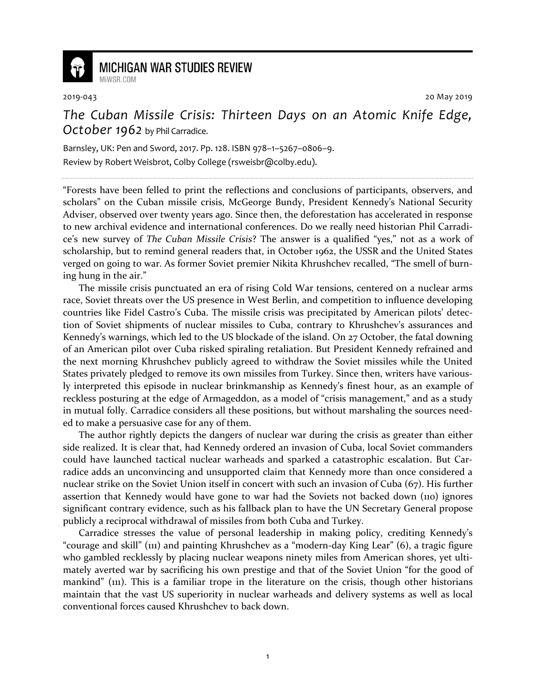

## **MICHIGAN WAR STUDIES REVIEW**

MiWSR COM

2019-043 20 May 2019

## *The Cuban Missile Crisis: Thirteen Days on an Atomic Knife Edge, October 1962* by Phil Carradice.

Barnsley, UK: Pen and Sword, 2017. Pp. 128. ISBN 978–1–5267–0806–9. Review by Robert Weisbrot, Colby College (rsweisbr@colby.edu).

"Forests have been felled to print the reflections and conclusions of participants, observers, and scholars" on the Cuban missile crisis, McGeorge Bundy, President Kennedy's National Security Adviser, observed over twenty years ago. Since then, the deforestation has accelerated in response to new archival evidence and international conferences. Do we really need historian Phil Carradice's new survey of *The Cuban Missile Crisis*? The answer is a qualified "yes," not as a work of scholarship, but to remind general readers that, in October 1962, the USSR and the United States verged on going to war. As former Soviet premier Nikita Khrushchev recalled, "The smell of burning hung in the air."

The missile crisis punctuated an era of rising Cold War tensions, centered on a nuclear arms race, Soviet threats over the US presence in West Berlin, and competition to influence developing countries like Fidel Castro's Cuba. The missile crisis was precipitated by American pilots' detection of Soviet shipments of nuclear missiles to Cuba, contrary to Khrushchev's assurances and Kennedy's warnings, which led to the US blockade of the island. On 27 October, the fatal downing of an American pilot over Cuba risked spiraling retaliation. But President Kennedy refrained and the next morning Khrushchev publicly agreed to withdraw the Soviet missiles while the United States privately pledged to remove its own missiles from Turkey. Since then, writers have variously interpreted this episode in nuclear brinkmanship as Kennedy's finest hour, as an example of reckless posturing at the edge of Armageddon, as a model of "crisis management," and as a study in mutual folly. Carradice considers all these positions, but without marshaling the sources needed to make a persuasive case for any of them.

The author rightly depicts the dangers of nuclear war during the crisis as greater than either side realized. It is clear that, had Kennedy ordered an invasion of Cuba, local Soviet commanders could have launched tactical nuclear warheads and sparked a catastrophic escalation. But Carradice adds an unconvincing and unsupported claim that Kennedy more than once considered a nuclear strike on the Soviet Union itself in concert with such an invasion of Cuba (67). His further assertion that Kennedy would have gone to war had the Soviets not backed down (110) ignores significant contrary evidence, such as his fallback plan to have the UN Secretary General propose publicly a reciprocal withdrawal of missiles from both Cuba and Turkey.

Carradice stresses the value of personal leadership in making policy, crediting Kennedy's "courage and skill" (111) and painting Khrushchev as a "modern-day King Lear" (6), a tragic figure who gambled recklessly by placing nuclear weapons ninety miles from American shores, yet ultimately averted war by sacrificing his own prestige and that of the Soviet Union "for the good of mankind" (111). This is a familiar trope in the literature on the crisis, though other historians maintain that the vast US superiority in nuclear warheads and delivery systems as well as local conventional forces caused Khrushchev to back down.